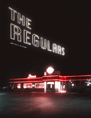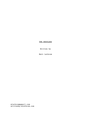# THE REGULARS

Written by

Matt Lathrom

mlathrom@gmail.com writtenby.mlathrom.com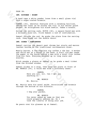FADE IN:

#### **INT. KITCHEN - NIGHT**

A hand taps a white powder loose from a small glass vial onto a sugar-coated brownie.

SAMUEL (36), skeletal features with a receding hairline, checks the coast as he stuffs the vial in his server pouch pocket. He straightens his black bowtie. Takes a breath.

Across the serving rack, MITCH (38), a square-faced man with a military buzz-cut, flick Samuel a nod of confirmation.

Samuel returns the nod. He grabs the plate from the serving rack, then heads out the double doors.

## **INT. DINER - CONTINUOUS**

Samuel carries the desert past chrome bar stools and maroon leather booths in the traditional northeastern diner.

FADE IN:<br> **WARR INTERT AN AND CONSTRANT CONTINUES**<br>
A hand caps a white powder loose from a small glass vial<br>
choose a sequence because brownes with a receding hairline,<br>
composite the composite in the valid in his server Mostly barren. A few regulars sip coffee a the bar. A mother and child eat at a booth in the back. A frail old man reads the paper in the booth behind a man with a novel five inches from his face. Everyone bundled up in long coats and scarves.

Mitch sneaks a glance at Samuel as he grabs a meal ticket from the Kitchen window.

Samuel slides to a stop, then sets the plate in front of MR. MORRIS (59), a thick man with a crotchety sneer.

> SAMUEL Here you are, sir. Can I get you anything el--

#### MR. MORRIS

Mr. Morris.

Mr. Morris sets his novel aside. Scrutinizes the brownie through the bottom of his bifocals.

### SAMUEL

I beg your pardon.

MR. MORRIS You never asked my name so that you could properly address me. So I took the liberty of doing your job.

He peers over his glasses up at Samuel.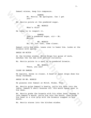Samuel winces, keep his composure.

SAMUEL Mr. Morris. My apologies. Can I get you--

Mr. Morris points at the powdered sugar.

MR. MORRIS What's this?

He leans in to inspect it.

SAMUEL That's powdered sugar, sir-- Mr. Morris.

MR. MORRIS No, no, not that, come closer.

Samuel rolls his eyes. Leans over to humor him. Looks at the brownie with apathy.

ANGLE ON MITCH

At the kitchen window, Mitch drops his guise of work, watches the two men with worried curiosity.

Mr. Morris points to a spot of un-powdered brownie.

MR. MORRIS There, you see?

CLOSE ON SAMUEL

He squints, moves in closer. A bead of sweat drops down his veiny forehead.

ANGLE ON MR. MORRIS

He glances over Samuel at Mitch. Winks. Then

Mr. Morris grips Samuel's bowtie, pulls his face into the table. Samuel's skull bounces off. His mouth hangs open in his daze.

Samuel winces, keep his composure.<br>
Wr. Exorris Now Inc. 2001<br>
Wr. Horris points at the powdered sugar.<br>
What's this?<br>
We leams in to inspect it.<br>
What's this?<br>
We leams in to inspect it.<br>
That's powdered sugar, sir-- Mr.<br> Mr. Morris grabs the brownie with his other hand, shoves it into Samuel's mouth, pulls him into the booth, then holds his head in a vice grip with the brownie trapped in his mouth.

Mr. Morris stares into the kitchen window.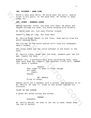#### **INT. KITCHEN - SAME TIME**

Mitch's face goes white. He bolts past the grill, nearly slips in his panic, to the back door. He throws it open, jumps out.

## **INT. DINER - MOMENTS LATER**

Samuel squirms, kicks, his eyes roll back. He pants and heaves through his nose, his mouth bulging with brownie.

He spits some out, his eyes flutter closed.

Samuel's legs go limp. His eyes shut.

Mr. Morris drops Samuel to the floor. Foam spills from his mouth hanging mouth.

The old man in the booth behind still read his newspaper. Hans't budged.

The young woman and her child unfazed in the booth in the back.

Mr. Morris rises, steps over the body, wanders past the old man, toward the back.

AUDRIE (33), a porcelain doll with calculating eyes, sets down sets down her compact. The obedient little girl, GWENNY (8), opens a lockbox.

> AUDRIE That ought to make it clear enough for them. (beat) Gwenny.

MR. MORRIS Flies to honey.

**Witch's face goas white.** No bolts past the grill, nearly<br>aligns in his gang white. He bolts past the grill, nearly<br>aligns in his gang to the back door. He throws it open,<br>yimps out.<br>INT. DINEX - MONENTS LATER<br>samel equin Gwenny pulls out a handset with a screen. She presents it to Mr. Morris. He take it, looks at the screen through his bifocals.

CLOSE ON THE SCREEN

A green dot moves across the screen.

GWENNY

Peekaboo.

Mr. Morris smirks. He nods to the two of them. Heads down the row of booths.